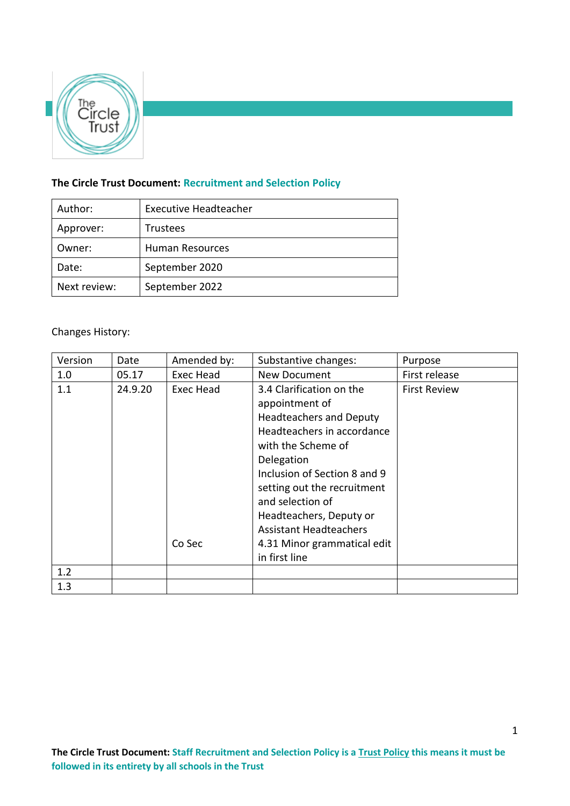

# **The Circle Trust Document: Recruitment and Selection Policy**

| Author:      | <b>Executive Headteacher</b> |  |  |
|--------------|------------------------------|--|--|
| Approver:    | <b>Trustees</b>              |  |  |
| Owner:       | <b>Human Resources</b>       |  |  |
| Date:        | September 2020               |  |  |
| Next review: | September 2022               |  |  |

# Changes History:

| Version | Date    | Amended by:         | Substantive changes:                                                                                                                                                                                                                                                                                                                          | Purpose             |
|---------|---------|---------------------|-----------------------------------------------------------------------------------------------------------------------------------------------------------------------------------------------------------------------------------------------------------------------------------------------------------------------------------------------|---------------------|
| 1.0     | 05.17   | Exec Head           | New Document                                                                                                                                                                                                                                                                                                                                  | First release       |
| 1.1     | 24.9.20 | Exec Head<br>Co Sec | 3.4 Clarification on the<br>appointment of<br><b>Headteachers and Deputy</b><br>Headteachers in accordance<br>with the Scheme of<br>Delegation<br>Inclusion of Section 8 and 9<br>setting out the recruitment<br>and selection of<br>Headteachers, Deputy or<br><b>Assistant Headteachers</b><br>4.31 Minor grammatical edit<br>in first line | <b>First Review</b> |
| 1.2     |         |                     |                                                                                                                                                                                                                                                                                                                                               |                     |
| 1.3     |         |                     |                                                                                                                                                                                                                                                                                                                                               |                     |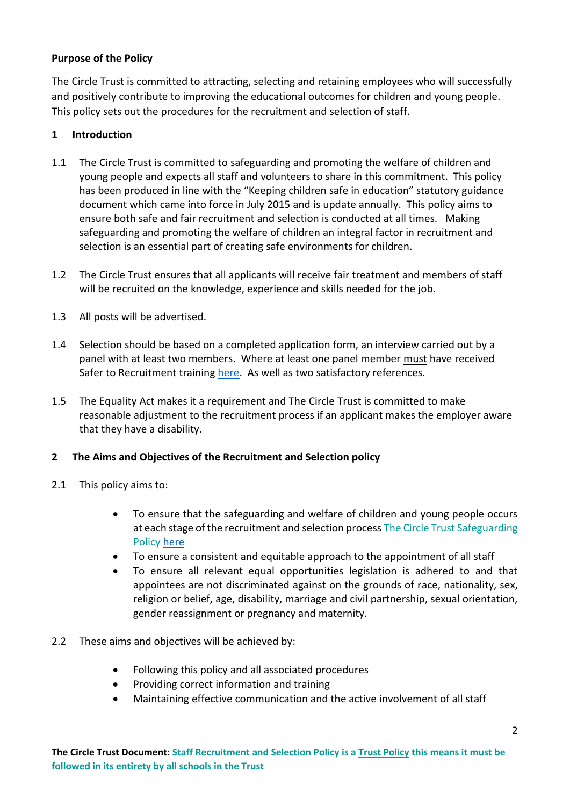## **Purpose of the Policy**

The Circle Trust is committed to attracting, selecting and retaining employees who will successfully and positively contribute to improving the educational outcomes for children and young people. This policy sets out the procedures for the recruitment and selection of staff.

## **1 Introduction**

- 1.1 The Circle Trust is committed to safeguarding and promoting the welfare of children and young people and expects all staff and volunteers to share in this commitment. This policy has been produced in line with the "Keeping children safe in education" statutory guidance document which came into force in July 2015 and is update annually. This policy aims to ensure both safe and fair recruitment and selection is conducted at all times. Making safeguarding and promoting the welfare of children an integral factor in recruitment and selection is an essential part of creating safe environments for children.
- 1.2 The Circle Trust ensures that all applicants will receive fair treatment and members of staff will be recruited on the knowledge, experience and skills needed for the job.
- 1.3 All posts will be advertised.
- 1.4 Selection should be based on a completed application form, an interview carried out by a panel with at least two members. Where at least one panel member must have received Safer to Recruitment training [here.](http://www.nspcc.org.uk/what-you-can-do/get-expert-training/safer-recruitment-education-course/) As well as two satisfactory references.
- 1.5 The Equality Act makes it a requirement and The Circle Trust is committed to make reasonable adjustment to the recruitment process if an applicant makes the employer aware that they have a disability.

## **2 The Aims and Objectives of the Recruitment and Selection policy**

- 2.1 This policy aims to:
	- To ensure that the safeguarding and welfare of children and young people occurs at each stage of the recruitment and selection process The Circle Trust Safeguarding Policy [here](https://thecircletrust.sharepoint.com/:w:/g/EVwNbqbyLzZPje70ok-jpCoBblTV9vlXEafe7zeDjgYmXg?e=PXH87e)
	- To ensure a consistent and equitable approach to the appointment of all staff
	- To ensure all relevant equal opportunities legislation is adhered to and that appointees are not discriminated against on the grounds of race, nationality, sex, religion or belief, age, disability, marriage and civil partnership, sexual orientation, gender reassignment or pregnancy and maternity.
- 2.2 These aims and objectives will be achieved by:
	- Following this policy and all associated procedures
	- Providing correct information and training
	- Maintaining effective communication and the active involvement of all staff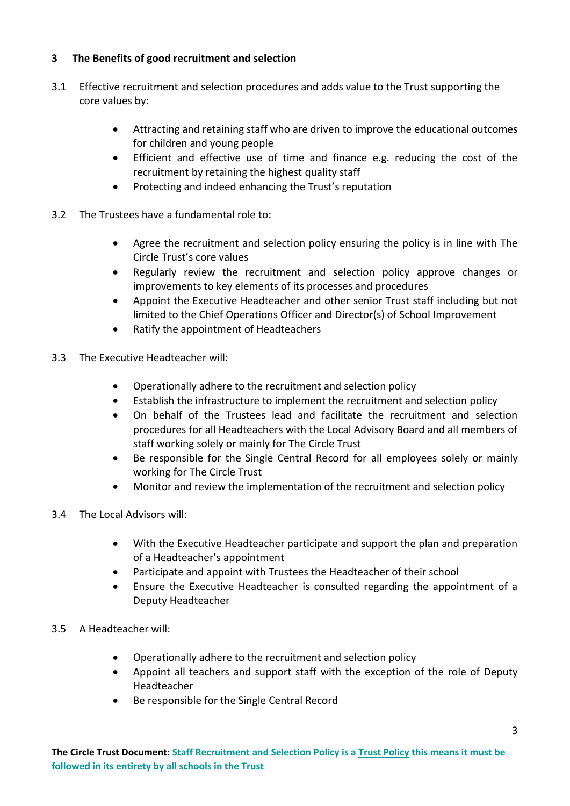## **3 The Benefits of good recruitment and selection**

- 3.1 Effective recruitment and selection procedures and adds value to the Trust supporting the core values by:
	- Attracting and retaining staff who are driven to improve the educational outcomes for children and young people
	- Efficient and effective use of time and finance e.g. reducing the cost of the recruitment by retaining the highest quality staff
	- Protecting and indeed enhancing the Trust's reputation
- 3.2 The Trustees have a fundamental role to:
	- Agree the recruitment and selection policy ensuring the policy is in line with The Circle Trust's core values
	- Regularly review the recruitment and selection policy approve changes or improvements to key elements of its processes and procedures
	- Appoint the Executive Headteacher and other senior Trust staff including but not limited to the Chief Operations Officer and Director(s) of School Improvement
	- Ratify the appointment of Headteachers
- 3.3 The Executive Headteacher will:
	- Operationally adhere to the recruitment and selection policy
	- Establish the infrastructure to implement the recruitment and selection policy
	- On behalf of the Trustees lead and facilitate the recruitment and selection procedures for all Headteachers with the Local Advisory Board and all members of staff working solely or mainly for The Circle Trust
	- Be responsible for the Single Central Record for all employees solely or mainly working for The Circle Trust
	- Monitor and review the implementation of the recruitment and selection policy
- 3.4 The Local Advisors will:
	- With the Executive Headteacher participate and support the plan and preparation of a Headteacher's appointment
	- Participate and appoint with Trustees the Headteacher of their school
	- Ensure the Executive Headteacher is consulted regarding the appointment of a Deputy Headteacher
- 3.5 A Headteacher will:
	- Operationally adhere to the recruitment and selection policy
	- Appoint all teachers and support staff with the exception of the role of Deputy Headteacher
	- Be responsible for the Single Central Record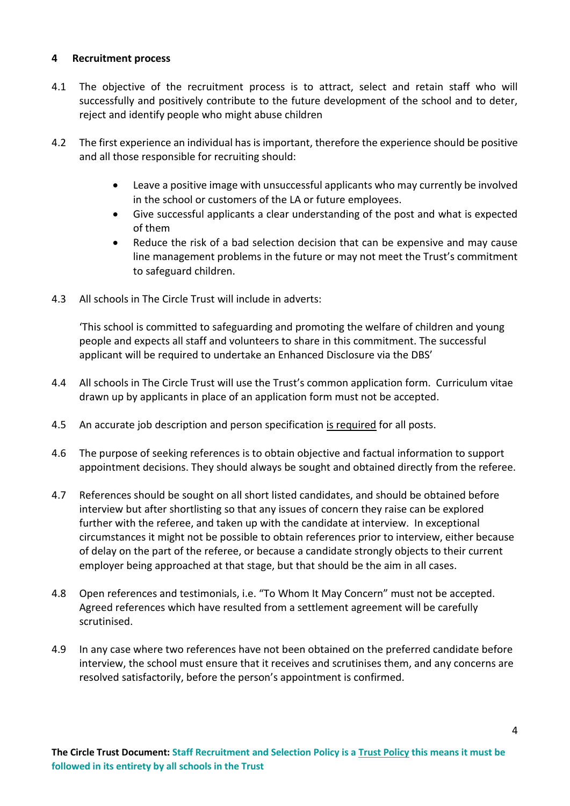#### **4 Recruitment process**

- 4.1 The objective of the recruitment process is to attract, select and retain staff who will successfully and positively contribute to the future development of the school and to deter, reject and identify people who might abuse children
- 4.2 The first experience an individual has is important, therefore the experience should be positive and all those responsible for recruiting should:
	- Leave a positive image with unsuccessful applicants who may currently be involved in the school or customers of the LA or future employees.
	- Give successful applicants a clear understanding of the post and what is expected of them
	- Reduce the risk of a bad selection decision that can be expensive and may cause line management problems in the future or may not meet the Trust's commitment to safeguard children.
- 4.3 All schools in The Circle Trust will include in adverts:

'This school is committed to safeguarding and promoting the welfare of children and young people and expects all staff and volunteers to share in this commitment. The successful applicant will be required to undertake an Enhanced Disclosure via the DBS'

- 4.4 All schools in The Circle Trust will use the Trust's common application form. Curriculum vitae drawn up by applicants in place of an application form must not be accepted.
- 4.5 An accurate job description and person specification is required for all posts.
- 4.6 The purpose of seeking references is to obtain objective and factual information to support appointment decisions. They should always be sought and obtained directly from the referee.
- 4.7 References should be sought on all short listed candidates, and should be obtained before interview but after shortlisting so that any issues of concern they raise can be explored further with the referee, and taken up with the candidate at interview. In exceptional circumstances it might not be possible to obtain references prior to interview, either because of delay on the part of the referee, or because a candidate strongly objects to their current employer being approached at that stage, but that should be the aim in all cases.
- 4.8 Open references and testimonials, i.e. "To Whom It May Concern" must not be accepted. Agreed references which have resulted from a settlement agreement will be carefully scrutinised.
- 4.9 In any case where two references have not been obtained on the preferred candidate before interview, the school must ensure that it receives and scrutinises them, and any concerns are resolved satisfactorily, before the person's appointment is confirmed.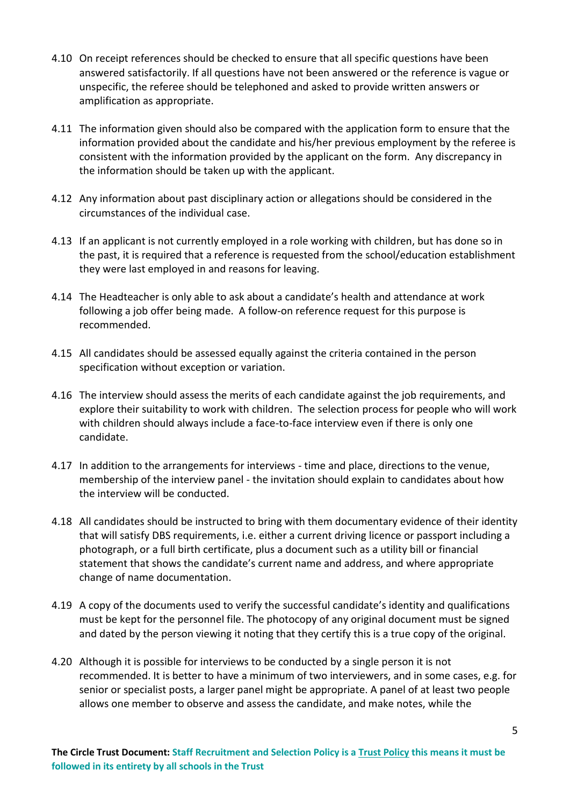- 4.10 On receipt references should be checked to ensure that all specific questions have been answered satisfactorily. If all questions have not been answered or the reference is vague or unspecific, the referee should be telephoned and asked to provide written answers or amplification as appropriate.
- 4.11 The information given should also be compared with the application form to ensure that the information provided about the candidate and his/her previous employment by the referee is consistent with the information provided by the applicant on the form. Any discrepancy in the information should be taken up with the applicant.
- 4.12 Any information about past disciplinary action or allegations should be considered in the circumstances of the individual case.
- 4.13 If an applicant is not currently employed in a role working with children, but has done so in the past, it is required that a reference is requested from the school/education establishment they were last employed in and reasons for leaving.
- 4.14 The Headteacher is only able to ask about a candidate's health and attendance at work following a job offer being made. A follow-on reference request for this purpose is recommended.
- 4.15 All candidates should be assessed equally against the criteria contained in the person specification without exception or variation.
- 4.16 The interview should assess the merits of each candidate against the job requirements, and explore their suitability to work with children. The selection process for people who will work with children should always include a face-to-face interview even if there is only one candidate.
- 4.17 In addition to the arrangements for interviews time and place, directions to the venue, membership of the interview panel - the invitation should explain to candidates about how the interview will be conducted.
- 4.18 All candidates should be instructed to bring with them documentary evidence of their identity that will satisfy DBS requirements, i.e. either a current driving licence or passport including a photograph, or a full birth certificate, plus a document such as a utility bill or financial statement that shows the candidate's current name and address, and where appropriate change of name documentation.
- 4.19 A copy of the documents used to verify the successful candidate's identity and qualifications must be kept for the personnel file. The photocopy of any original document must be signed and dated by the person viewing it noting that they certify this is a true copy of the original.
- 4.20 Although it is possible for interviews to be conducted by a single person it is not recommended. It is better to have a minimum of two interviewers, and in some cases, e.g. for senior or specialist posts, a larger panel might be appropriate. A panel of at least two people allows one member to observe and assess the candidate, and make notes, while the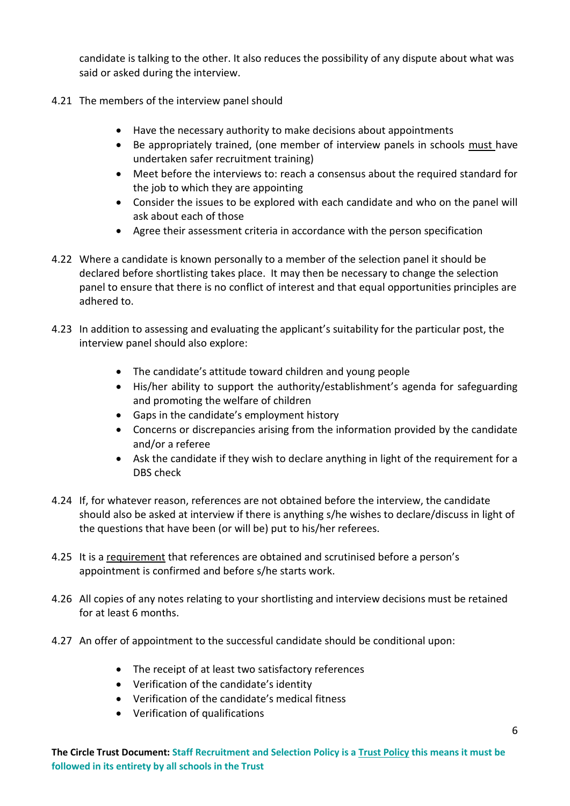candidate is talking to the other. It also reduces the possibility of any dispute about what was said or asked during the interview.

- 4.21 The members of the interview panel should
	- Have the necessary authority to make decisions about appointments
	- Be appropriately trained, (one member of interview panels in schools must have undertaken safer recruitment training)
	- Meet before the interviews to: reach a consensus about the required standard for the job to which they are appointing
	- Consider the issues to be explored with each candidate and who on the panel will ask about each of those
	- Agree their assessment criteria in accordance with the person specification
- 4.22 Where a candidate is known personally to a member of the selection panel it should be declared before shortlisting takes place. It may then be necessary to change the selection panel to ensure that there is no conflict of interest and that equal opportunities principles are adhered to.
- 4.23 In addition to assessing and evaluating the applicant's suitability for the particular post, the interview panel should also explore:
	- The candidate's attitude toward children and young people
	- His/her ability to support the authority/establishment's agenda for safeguarding and promoting the welfare of children
	- Gaps in the candidate's employment history
	- Concerns or discrepancies arising from the information provided by the candidate and/or a referee
	- Ask the candidate if they wish to declare anything in light of the requirement for a DBS check
- 4.24 If, for whatever reason, references are not obtained before the interview, the candidate should also be asked at interview if there is anything s/he wishes to declare/discuss in light of the questions that have been (or will be) put to his/her referees.
- 4.25 It is a requirement that references are obtained and scrutinised before a person's appointment is confirmed and before s/he starts work.
- 4.26 All copies of any notes relating to your shortlisting and interview decisions must be retained for at least 6 months.
- 4.27 An offer of appointment to the successful candidate should be conditional upon:
	- The receipt of at least two satisfactory references
	- Verification of the candidate's identity
	- Verification of the candidate's medical fitness
	- Verification of qualifications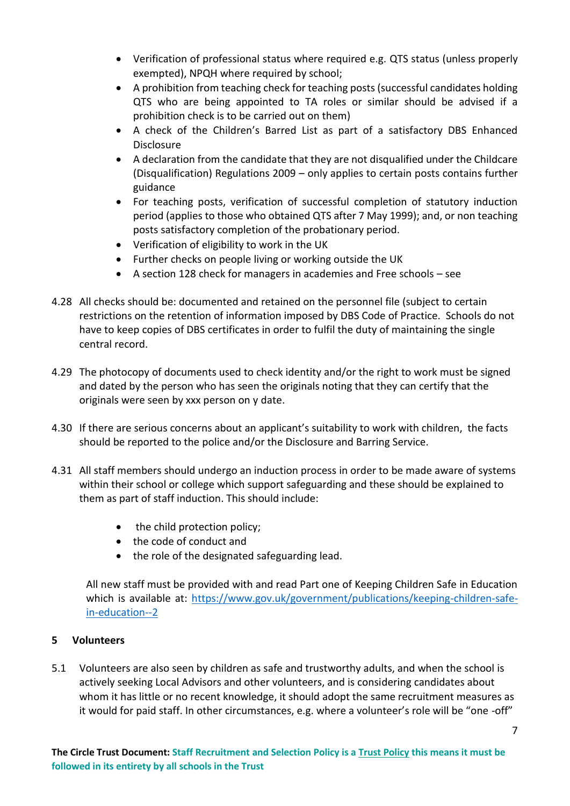- Verification of professional status where required e.g. QTS status (unless properly exempted), NPQH where required by school;
- A prohibition from teaching check for teaching posts (successful candidates holding QTS who are being appointed to TA roles or similar should be advised if a prohibition check is to be carried out on them)
- A check of the Children's Barred List as part of a satisfactory DBS Enhanced **Disclosure**
- A declaration from the candidate that they are not disqualified under the Childcare (Disqualification) Regulations 2009 – only applies to certain posts contains further guidance
- For teaching posts, verification of successful completion of statutory induction period (applies to those who obtained QTS after 7 May 1999); and, or non teaching posts satisfactory completion of the probationary period.
- Verification of eligibility to work in the UK
- Further checks on people living or working outside the UK
- A section 128 check for managers in academies and Free schools see
- 4.28 All checks should be: documented and retained on the personnel file (subject to certain restrictions on the retention of information imposed by DBS Code of Practice. Schools do not have to keep copies of DBS certificates in order to fulfil the duty of maintaining the single central record.
- 4.29 The photocopy of documents used to check identity and/or the right to work must be signed and dated by the person who has seen the originals noting that they can certify that the originals were seen by xxx person on y date.
- 4.30 If there are serious concerns about an applicant's suitability to work with children, the facts should be reported to the police and/or the Disclosure and Barring Service.
- 4.31 All staff members should undergo an induction process in order to be made aware of systems within their school or college which support safeguarding and these should be explained to them as part of staff induction. This should include:
	- the child protection policy;
	- the code of conduct and
	- the role of the designated safeguarding lead.

All new staff must be provided with and read Part one of Keeping Children Safe in Education which is available at: [https://www.gov.uk/government/publications/keeping-children-safe](https://www.gov.uk/government/publications/keeping-children-safe-in-education--2)[in-education--2](https://www.gov.uk/government/publications/keeping-children-safe-in-education--2)

## **5 Volunteers**

5.1 Volunteers are also seen by children as safe and trustworthy adults, and when the school is actively seeking Local Advisors and other volunteers, and is considering candidates about whom it has little or no recent knowledge, it should adopt the same recruitment measures as it would for paid staff. In other circumstances, e.g. where a volunteer's role will be "one -off"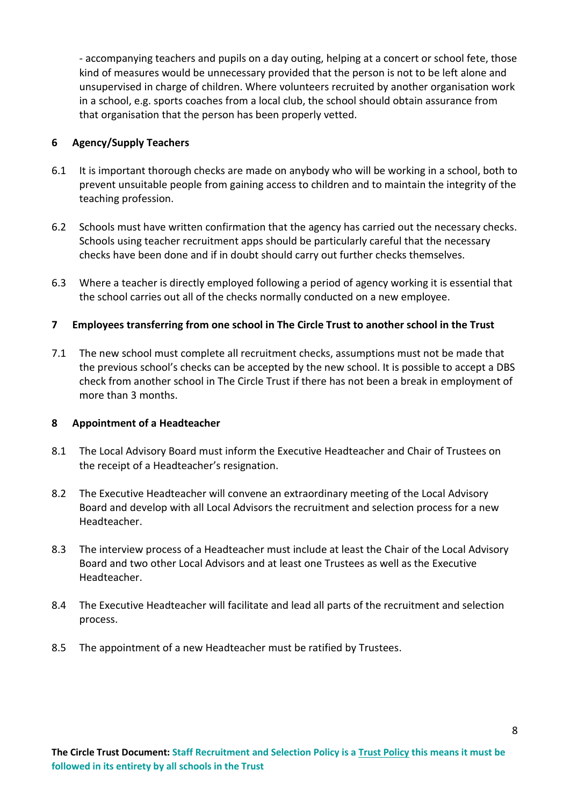- accompanying teachers and pupils on a day outing, helping at a concert or school fete, those kind of measures would be unnecessary provided that the person is not to be left alone and unsupervised in charge of children. Where volunteers recruited by another organisation work in a school, e.g. sports coaches from a local club, the school should obtain assurance from that organisation that the person has been properly vetted.

#### **6 Agency/Supply Teachers**

- 6.1 It is important thorough checks are made on anybody who will be working in a school, both to prevent unsuitable people from gaining access to children and to maintain the integrity of the teaching profession.
- 6.2 Schools must have written confirmation that the agency has carried out the necessary checks. Schools using teacher recruitment apps should be particularly careful that the necessary checks have been done and if in doubt should carry out further checks themselves.
- 6.3 Where a teacher is directly employed following a period of agency working it is essential that the school carries out all of the checks normally conducted on a new employee.

#### **7 Employees transferring from one school in The Circle Trust to another school in the Trust**

7.1 The new school must complete all recruitment checks, assumptions must not be made that the previous school's checks can be accepted by the new school. It is possible to accept a DBS check from another school in The Circle Trust if there has not been a break in employment of more than 3 months.

#### **8 Appointment of a Headteacher**

- 8.1 The Local Advisory Board must inform the Executive Headteacher and Chair of Trustees on the receipt of a Headteacher's resignation.
- 8.2 The Executive Headteacher will convene an extraordinary meeting of the Local Advisory Board and develop with all Local Advisors the recruitment and selection process for a new Headteacher.
- 8.3 The interview process of a Headteacher must include at least the Chair of the Local Advisory Board and two other Local Advisors and at least one Trustees as well as the Executive Headteacher.
- 8.4 The Executive Headteacher will facilitate and lead all parts of the recruitment and selection process.
- 8.5 The appointment of a new Headteacher must be ratified by Trustees.